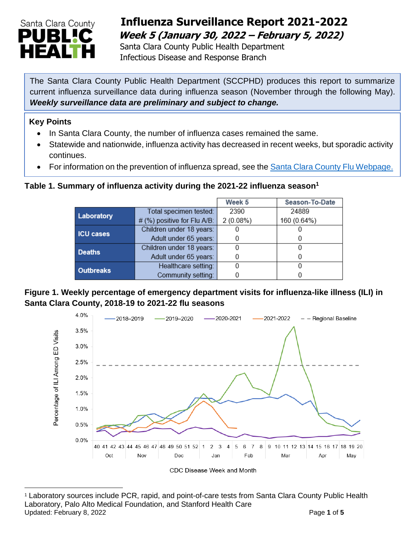

## **Influenza Surveillance Report 2021-2022 Week 5 (January 30, 2022 – February 5, 2022)**

 Santa Clara County Public Health Department Infectious Disease and Response Branch

The Santa Clara County Public Health Department (SCCPHD) produces this report to summarize current influenza surveillance data during influenza season (November through the following May). *Weekly surveillance data are preliminary and subject to change.*

#### **Key Points**

- In Santa Clara County, the number of influenza cases remained the same.
- Statewide and nationwide, influenza activity has decreased in recent weeks, but sporadic activity continues.
- For information on the prevention of influenza spread, see the [Santa Clara County Flu Webpage.](https://publichealth.sccgov.org/disease-information/influenza-flu)

### **Table 1. Summary of influenza activity during the 2021-22 influenza season<sup>1</sup>**

|                  |                                | Week 5   | Season-To-Date |
|------------------|--------------------------------|----------|----------------|
| Laboratory       | Total specimen tested:         | 2390     | 24889          |
|                  | # (%) positive for Flu $A/B$ : | 2(0.08%) | 160 (0.64%)    |
| <b>ICU cases</b> | Children under 18 years:       |          |                |
|                  | Adult under 65 years:          |          |                |
| <b>Deaths</b>    | Children under 18 years:       |          |                |
|                  | Adult under 65 years:          |          |                |
| <b>Outbreaks</b> | Healthcare setting:            |          |                |
|                  | Community setting:             |          |                |

### **Figure 1. Weekly percentage of emergency department visits for influenza-like illness (ILI) in Santa Clara County, 2018-19 to 2021-22 flu seasons**



<sup>1</sup> Laboratory sources include PCR, rapid, and point-of-care tests from Santa Clara County Public Health Laboratory, Palo Alto Medical Foundation, and Stanford Health Care Updated: February 8, 2022 **Page 1** of 5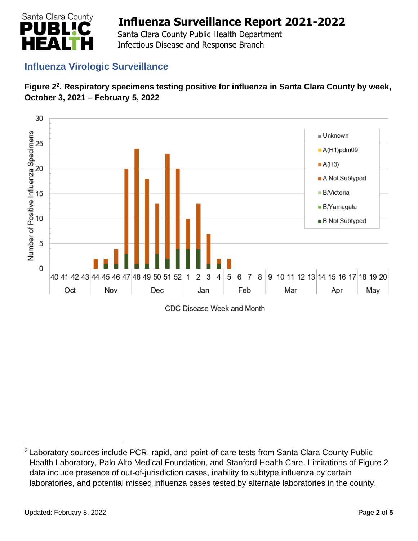

 Santa Clara County Public Health Department Infectious Disease and Response Branch

## **Influenza Virologic Surveillance**





CDC Disease Week and Month

<sup>&</sup>lt;sup>2</sup> Laboratory sources include PCR, rapid, and point-of-care tests from Santa Clara County Public Health Laboratory, Palo Alto Medical Foundation, and Stanford Health Care. Limitations of Figure 2 data include presence of out-of-jurisdiction cases, inability to subtype influenza by certain laboratories, and potential missed influenza cases tested by alternate laboratories in the county.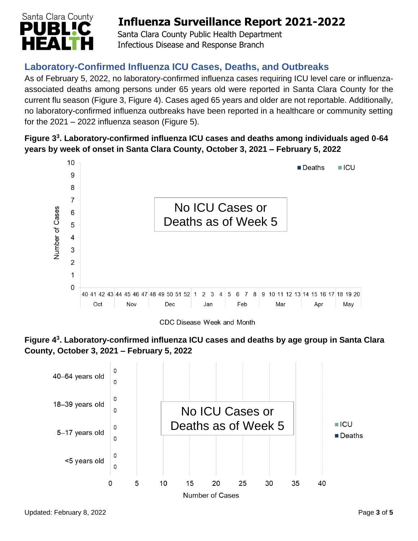

 Santa Clara County Public Health Department Infectious Disease and Response Branch

## **Laboratory-Confirmed Influenza ICU Cases, Deaths, and Outbreaks**

As of February 5, 2022, no laboratory-confirmed influenza cases requiring ICU level care or influenzaassociated deaths among persons under 65 years old were reported in Santa Clara County for the current flu season (Figure 3, Figure 4). Cases aged 65 years and older are not reportable. Additionally, no laboratory-confirmed influenza outbreaks have been reported in a healthcare or community setting for the  $2021 - 2022$  influenza season (Figure 5).

### **Figure 3 3 . Laboratory-confirmed influenza ICU cases and deaths among individuals aged 0-64 years by week of onset in Santa Clara County, October 3, 2021 – February 5, 2022**



CDC Disease Week and Month



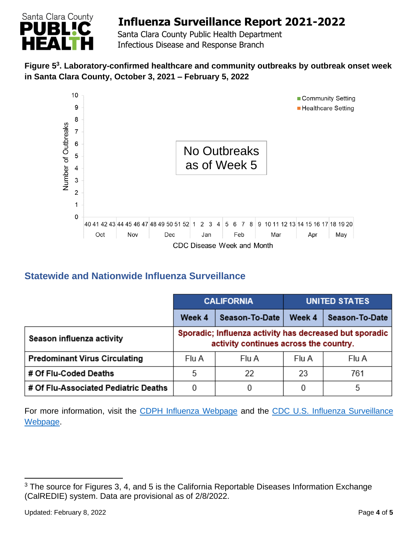

 Santa Clara County Public Health Department Infectious Disease and Response Branch

### **Figure 5 3 . Laboratory-confirmed healthcare and community outbreaks by outbreak onset week in Santa Clara County, October 3, 2021 – February 5, 2022**



## **Statewide and Nationwide Influenza Surveillance**

|                                      | <b>CALIFORNIA</b>                                                                                 |                | UNITED STATES |                |
|--------------------------------------|---------------------------------------------------------------------------------------------------|----------------|---------------|----------------|
|                                      | Week 4                                                                                            | Season-To-Date | Week 4        | Season-To-Date |
| Season influenza activity            | Sporadic; Influenza activity has decreased but sporadic<br>activity continues across the country. |                |               |                |
| <b>Predominant Virus Circulating</b> | Flu A                                                                                             | Flu A          | Flu A         | Flu A          |
| # Of Flu-Coded Deaths                | 5                                                                                                 | 22             | 23            | 761            |
| # Of Flu-Associated Pediatric Deaths | 0                                                                                                 |                | 0             | 5              |

For more information, visit the [CDPH Influenza Webpage](http://www.cdph.ca.gov/Programs/CID/DCDC/Pages/Immunization/Influenza.aspx) and the CDC U.S. Influenza Surveillance [Webpage.](http://www.cdc.gov/flu/weekly/)

<sup>&</sup>lt;sup>3</sup> The source for Figures 3, 4, and 5 is the California Reportable Diseases Information Exchange (CalREDIE) system. Data are provisional as of 2/8/2022.